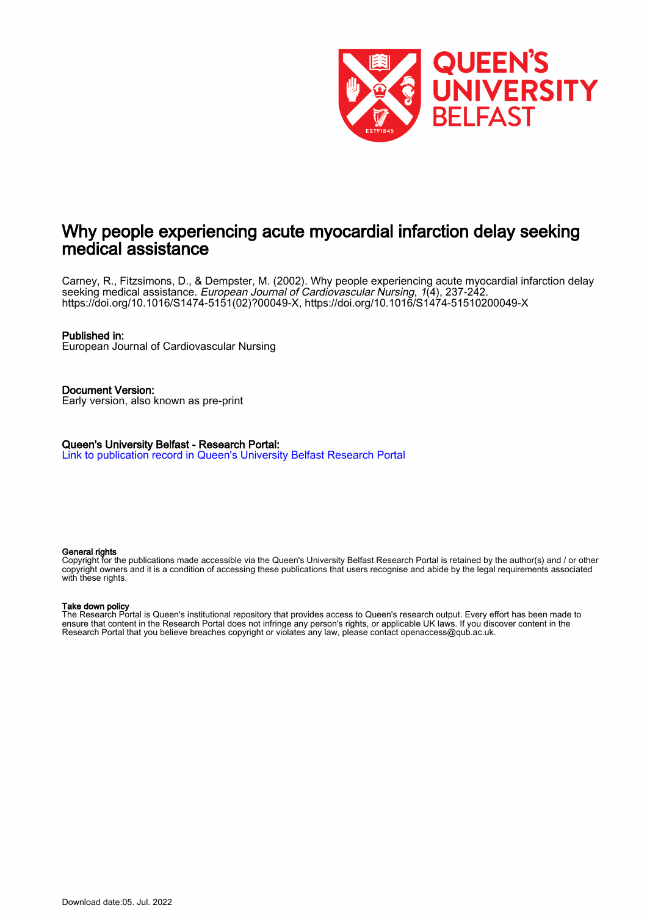

## Why people experiencing acute myocardial infarction delay seeking medical assistance

Carney, R., Fitzsimons, D., & Dempster, M. (2002). Why people experiencing acute myocardial infarction delay seeking medical assistance. European Journal of Cardiovascular Nursing, 1(4), 237-242. [https://doi.org/10.1016/S1474-5151\(02\)?00049-X,](https://doi.org/10.1016/S1474-5151(02)?00049-X)<https://doi.org/10.1016/S1474-51510200049-X>

#### Published in:

European Journal of Cardiovascular Nursing

Document Version: Early version, also known as pre-print

Queen's University Belfast - Research Portal: [Link to publication record in Queen's University Belfast Research Portal](https://pure.qub.ac.uk/en/publications/df33f1e9-f294-48be-a01e-e21b5b7ebab2)

#### General rights

Copyright for the publications made accessible via the Queen's University Belfast Research Portal is retained by the author(s) and / or other copyright owners and it is a condition of accessing these publications that users recognise and abide by the legal requirements associated with these rights.

#### Take down policy

The Research Portal is Queen's institutional repository that provides access to Queen's research output. Every effort has been made to ensure that content in the Research Portal does not infringe any person's rights, or applicable UK laws. If you discover content in the Research Portal that you believe breaches copyright or violates any law, please contact openaccess@qub.ac.uk.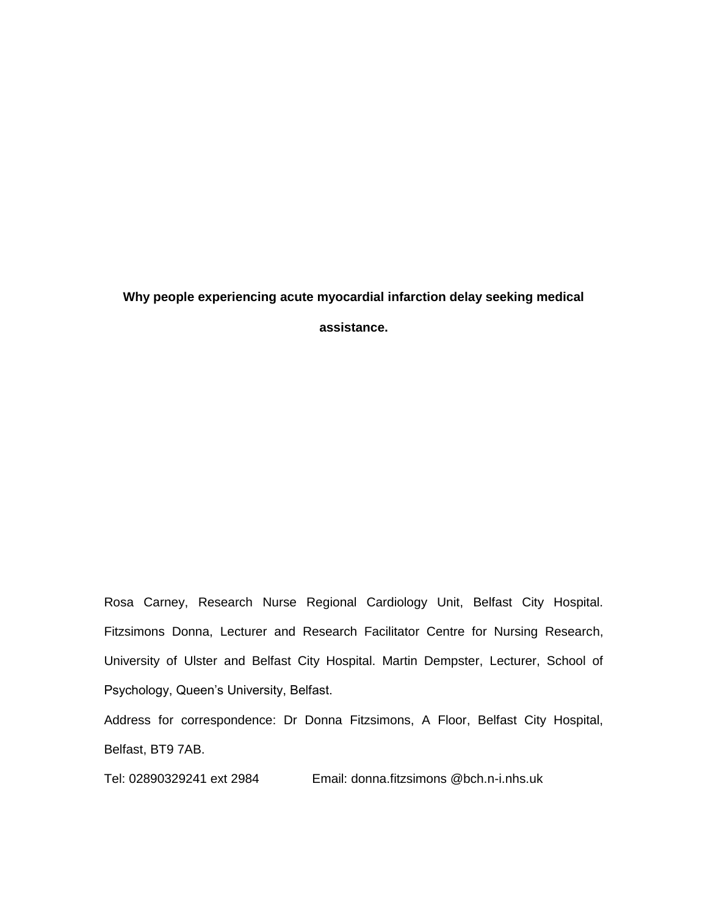# **Why people experiencing acute myocardial infarction delay seeking medical**

**assistance.**

Rosa Carney, Research Nurse Regional Cardiology Unit, Belfast City Hospital. Fitzsimons Donna, Lecturer and Research Facilitator Centre for Nursing Research, University of Ulster and Belfast City Hospital. Martin Dempster, Lecturer, School of Psychology, Queen's University, Belfast.

Address for correspondence: Dr Donna Fitzsimons, A Floor, Belfast City Hospital, Belfast, BT9 7AB.

Tel: 02890329241 ext 2984 Email: donna.fitzsimons @bch.n-i.nhs.uk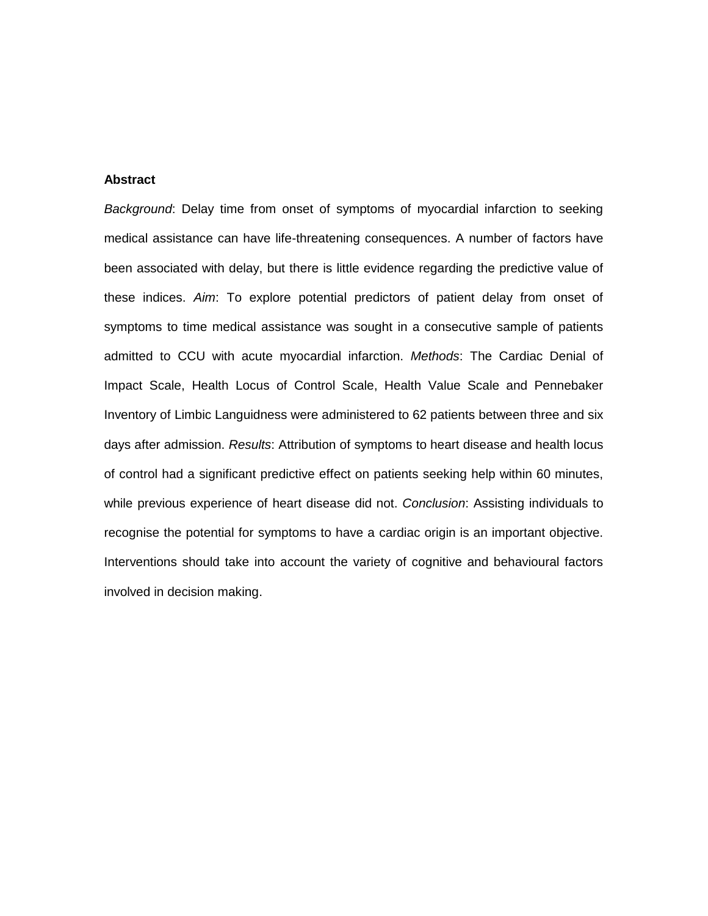#### **Abstract**

*Background*: Delay time from onset of symptoms of myocardial infarction to seeking medical assistance can have life-threatening consequences. A number of factors have been associated with delay, but there is little evidence regarding the predictive value of these indices. *Aim*: To explore potential predictors of patient delay from onset of symptoms to time medical assistance was sought in a consecutive sample of patients admitted to CCU with acute myocardial infarction. *Methods*: The Cardiac Denial of Impact Scale, Health Locus of Control Scale, Health Value Scale and Pennebaker Inventory of Limbic Languidness were administered to 62 patients between three and six days after admission. *Results*: Attribution of symptoms to heart disease and health locus of control had a significant predictive effect on patients seeking help within 60 minutes, while previous experience of heart disease did not. *Conclusion*: Assisting individuals to recognise the potential for symptoms to have a cardiac origin is an important objective. Interventions should take into account the variety of cognitive and behavioural factors involved in decision making.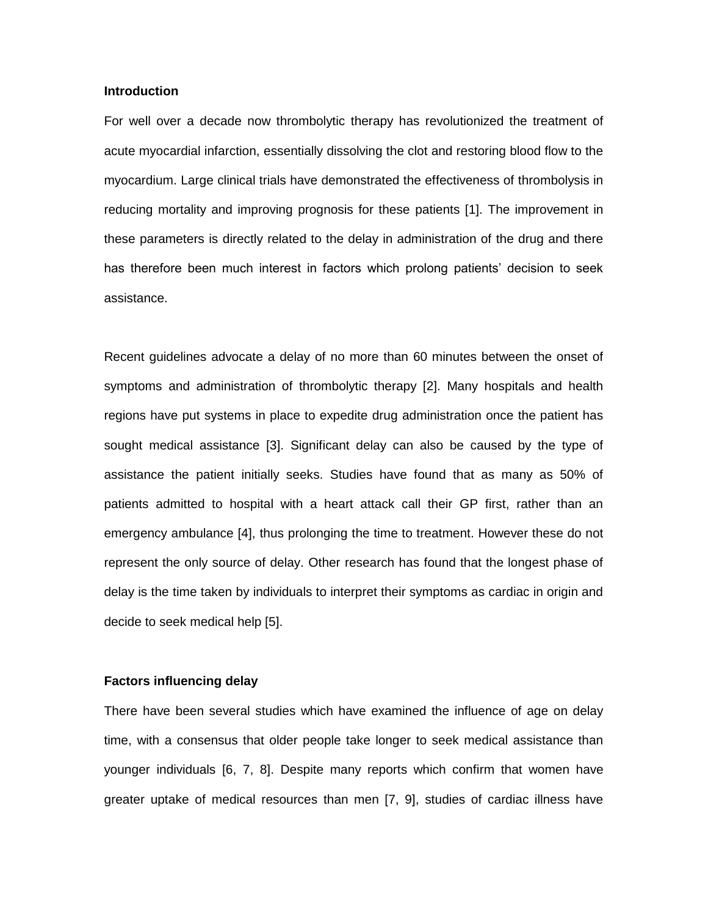#### **Introduction**

For well over a decade now thrombolytic therapy has revolutionized the treatment of acute myocardial infarction, essentially dissolving the clot and restoring blood flow to the myocardium. Large clinical trials have demonstrated the effectiveness of thrombolysis in reducing mortality and improving prognosis for these patients [1]. The improvement in these parameters is directly related to the delay in administration of the drug and there has therefore been much interest in factors which prolong patients' decision to seek assistance.

Recent guidelines advocate a delay of no more than 60 minutes between the onset of symptoms and administration of thrombolytic therapy [2]. Many hospitals and health regions have put systems in place to expedite drug administration once the patient has sought medical assistance [3]. Significant delay can also be caused by the type of assistance the patient initially seeks. Studies have found that as many as 50% of patients admitted to hospital with a heart attack call their GP first, rather than an emergency ambulance [4], thus prolonging the time to treatment. However these do not represent the only source of delay. Other research has found that the longest phase of delay is the time taken by individuals to interpret their symptoms as cardiac in origin and decide to seek medical help [5].

#### **Factors influencing delay**

There have been several studies which have examined the influence of age on delay time, with a consensus that older people take longer to seek medical assistance than younger individuals [6, 7, 8]. Despite many reports which confirm that women have greater uptake of medical resources than men [7, 9], studies of cardiac illness have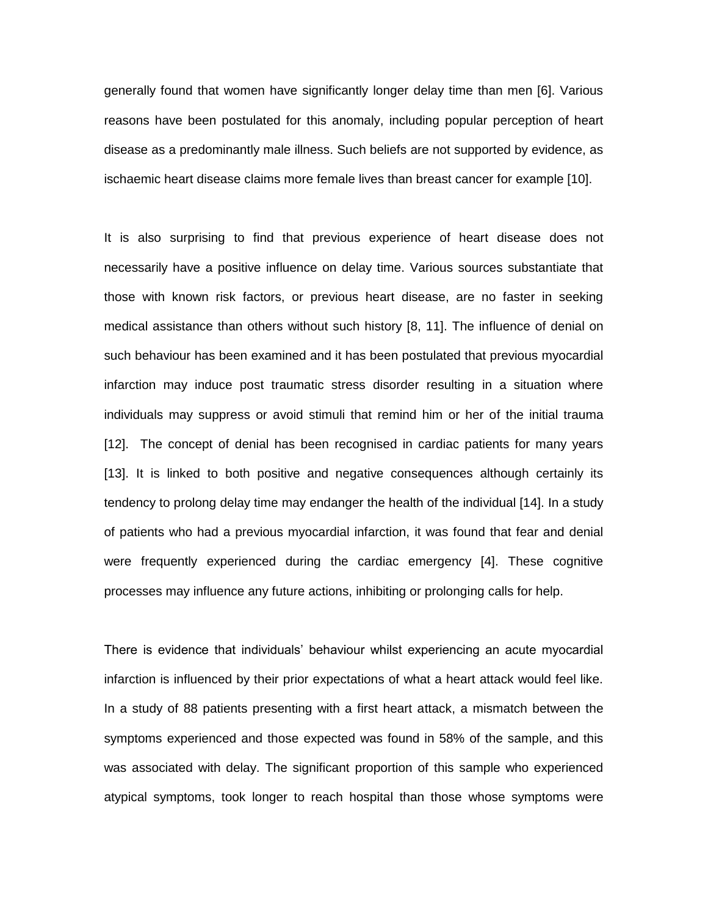generally found that women have significantly longer delay time than men [6]. Various reasons have been postulated for this anomaly, including popular perception of heart disease as a predominantly male illness. Such beliefs are not supported by evidence, as ischaemic heart disease claims more female lives than breast cancer for example [10].

It is also surprising to find that previous experience of heart disease does not necessarily have a positive influence on delay time. Various sources substantiate that those with known risk factors, or previous heart disease, are no faster in seeking medical assistance than others without such history [8, 11]. The influence of denial on such behaviour has been examined and it has been postulated that previous myocardial infarction may induce post traumatic stress disorder resulting in a situation where individuals may suppress or avoid stimuli that remind him or her of the initial trauma [12]. The concept of denial has been recognised in cardiac patients for many years [13]. It is linked to both positive and negative consequences although certainly its tendency to prolong delay time may endanger the health of the individual [14]. In a study of patients who had a previous myocardial infarction, it was found that fear and denial were frequently experienced during the cardiac emergency [4]. These cognitive processes may influence any future actions, inhibiting or prolonging calls for help.

There is evidence that individuals' behaviour whilst experiencing an acute myocardial infarction is influenced by their prior expectations of what a heart attack would feel like. In a study of 88 patients presenting with a first heart attack, a mismatch between the symptoms experienced and those expected was found in 58% of the sample, and this was associated with delay. The significant proportion of this sample who experienced atypical symptoms, took longer to reach hospital than those whose symptoms were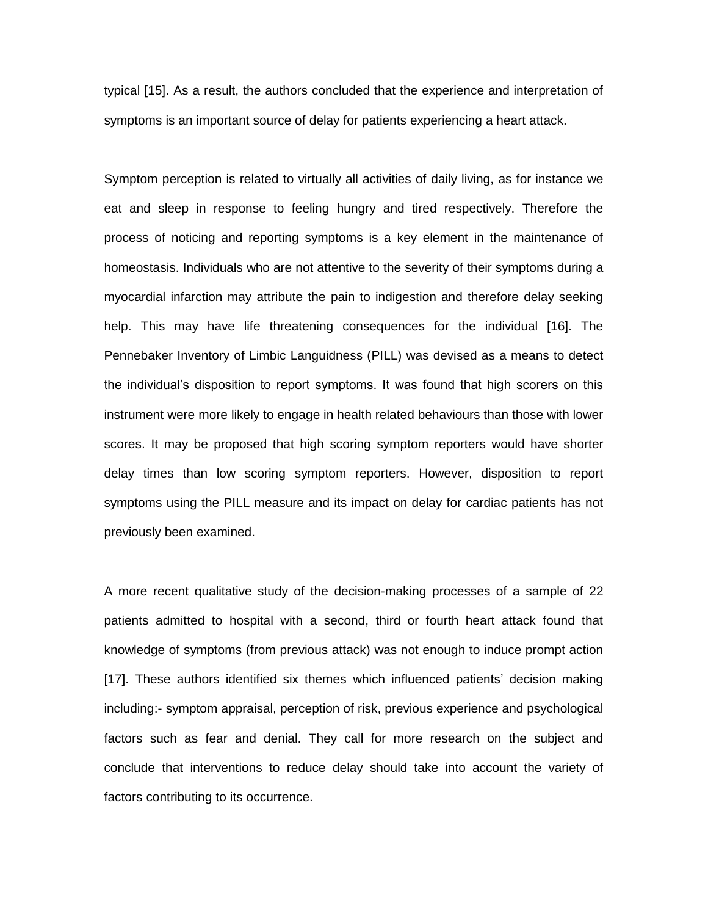typical [15]. As a result, the authors concluded that the experience and interpretation of symptoms is an important source of delay for patients experiencing a heart attack.

Symptom perception is related to virtually all activities of daily living, as for instance we eat and sleep in response to feeling hungry and tired respectively. Therefore the process of noticing and reporting symptoms is a key element in the maintenance of homeostasis. Individuals who are not attentive to the severity of their symptoms during a myocardial infarction may attribute the pain to indigestion and therefore delay seeking help. This may have life threatening consequences for the individual [16]. The Pennebaker Inventory of Limbic Languidness (PILL) was devised as a means to detect the individual's disposition to report symptoms. It was found that high scorers on this instrument were more likely to engage in health related behaviours than those with lower scores. It may be proposed that high scoring symptom reporters would have shorter delay times than low scoring symptom reporters. However, disposition to report symptoms using the PILL measure and its impact on delay for cardiac patients has not previously been examined.

A more recent qualitative study of the decision-making processes of a sample of 22 patients admitted to hospital with a second, third or fourth heart attack found that knowledge of symptoms (from previous attack) was not enough to induce prompt action [17]. These authors identified six themes which influenced patients' decision making including:- symptom appraisal, perception of risk, previous experience and psychological factors such as fear and denial. They call for more research on the subject and conclude that interventions to reduce delay should take into account the variety of factors contributing to its occurrence.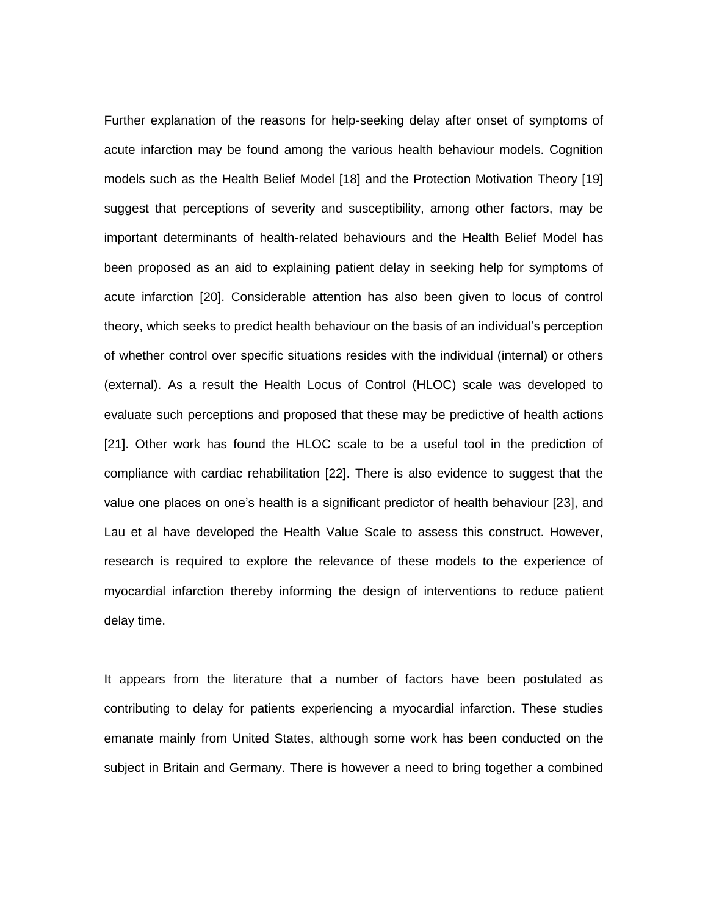Further explanation of the reasons for help-seeking delay after onset of symptoms of acute infarction may be found among the various health behaviour models. Cognition models such as the Health Belief Model [18] and the Protection Motivation Theory [19] suggest that perceptions of severity and susceptibility, among other factors, may be important determinants of health-related behaviours and the Health Belief Model has been proposed as an aid to explaining patient delay in seeking help for symptoms of acute infarction [20]. Considerable attention has also been given to locus of control theory, which seeks to predict health behaviour on the basis of an individual's perception of whether control over specific situations resides with the individual (internal) or others (external). As a result the Health Locus of Control (HLOC) scale was developed to evaluate such perceptions and proposed that these may be predictive of health actions [21]. Other work has found the HLOC scale to be a useful tool in the prediction of compliance with cardiac rehabilitation [22]. There is also evidence to suggest that the value one places on one's health is a significant predictor of health behaviour [23], and Lau et al have developed the Health Value Scale to assess this construct. However, research is required to explore the relevance of these models to the experience of myocardial infarction thereby informing the design of interventions to reduce patient delay time.

It appears from the literature that a number of factors have been postulated as contributing to delay for patients experiencing a myocardial infarction. These studies emanate mainly from United States, although some work has been conducted on the subject in Britain and Germany. There is however a need to bring together a combined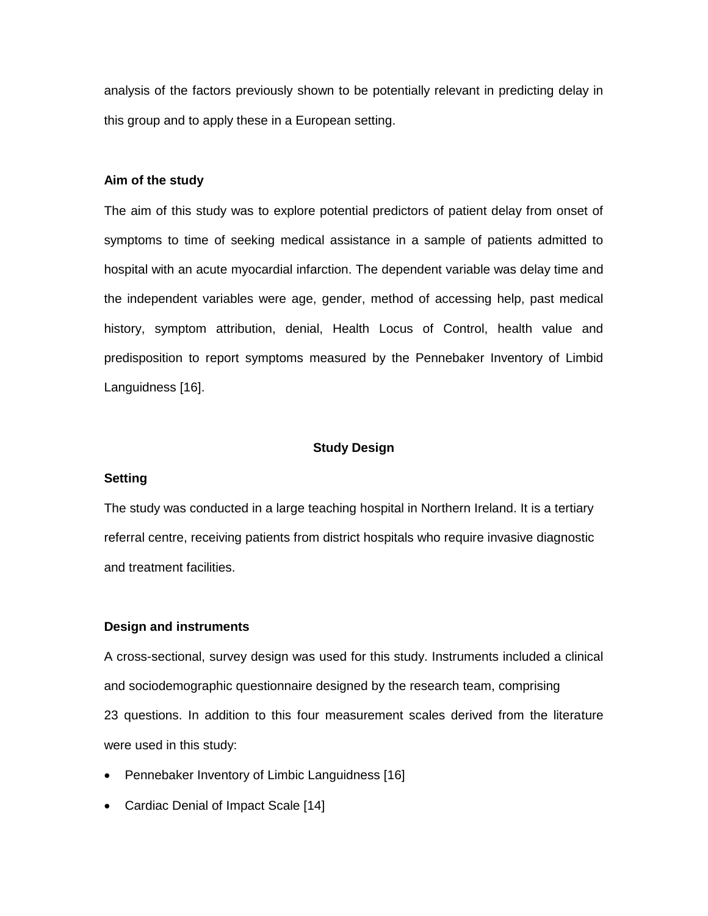analysis of the factors previously shown to be potentially relevant in predicting delay in this group and to apply these in a European setting.

#### **Aim of the study**

The aim of this study was to explore potential predictors of patient delay from onset of symptoms to time of seeking medical assistance in a sample of patients admitted to hospital with an acute myocardial infarction. The dependent variable was delay time and the independent variables were age, gender, method of accessing help, past medical history, symptom attribution, denial, Health Locus of Control, health value and predisposition to report symptoms measured by the Pennebaker Inventory of Limbid Languidness [16].

#### **Study Design**

#### **Setting**

The study was conducted in a large teaching hospital in Northern Ireland. It is a tertiary referral centre, receiving patients from district hospitals who require invasive diagnostic and treatment facilities.

#### **Design and instruments**

A cross-sectional, survey design was used for this study. Instruments included a clinical and sociodemographic questionnaire designed by the research team, comprising 23 questions. In addition to this four measurement scales derived from the literature were used in this study:

- Pennebaker Inventory of Limbic Languidness [16]
- Cardiac Denial of Impact Scale [14]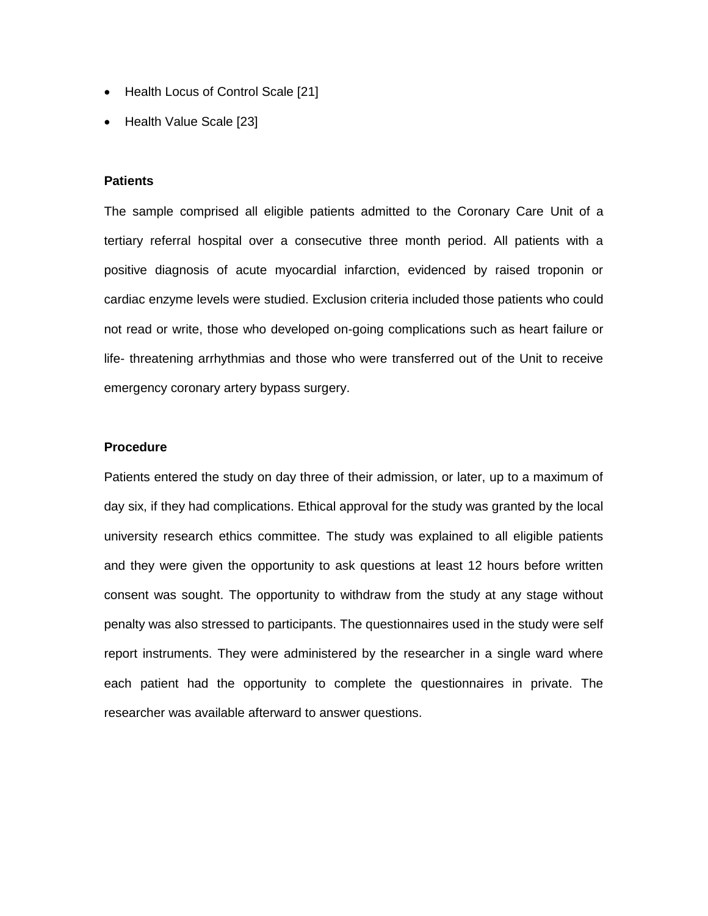- Health Locus of Control Scale [21]
- Health Value Scale [23]

#### **Patients**

The sample comprised all eligible patients admitted to the Coronary Care Unit of a tertiary referral hospital over a consecutive three month period. All patients with a positive diagnosis of acute myocardial infarction, evidenced by raised troponin or cardiac enzyme levels were studied. Exclusion criteria included those patients who could not read or write, those who developed on-going complications such as heart failure or life- threatening arrhythmias and those who were transferred out of the Unit to receive emergency coronary artery bypass surgery.

#### **Procedure**

Patients entered the study on day three of their admission, or later, up to a maximum of day six, if they had complications. Ethical approval for the study was granted by the local university research ethics committee. The study was explained to all eligible patients and they were given the opportunity to ask questions at least 12 hours before written consent was sought. The opportunity to withdraw from the study at any stage without penalty was also stressed to participants. The questionnaires used in the study were self report instruments. They were administered by the researcher in a single ward where each patient had the opportunity to complete the questionnaires in private. The researcher was available afterward to answer questions.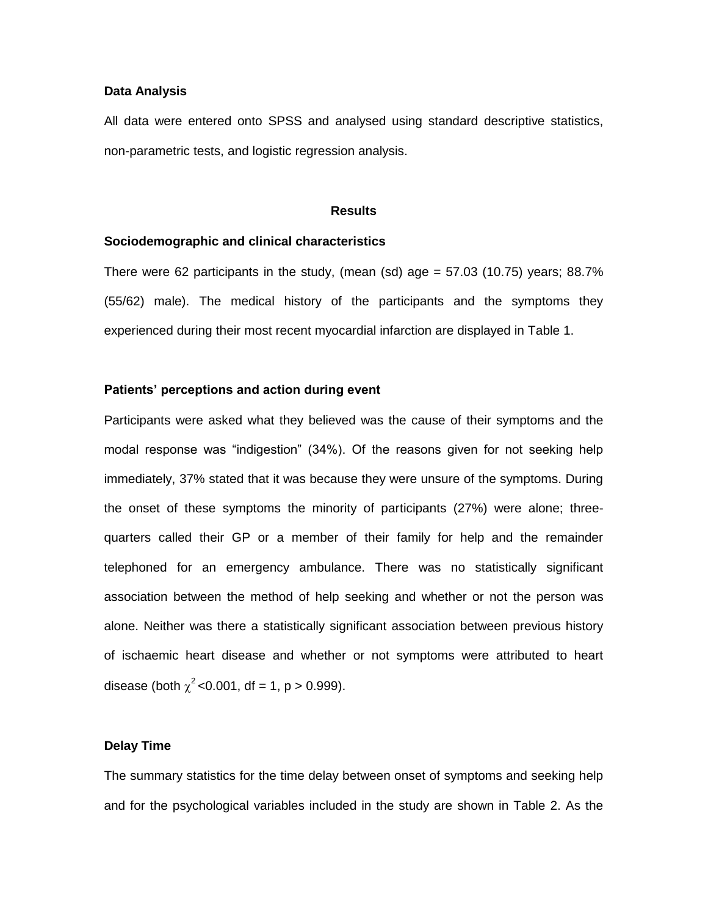#### **Data Analysis**

All data were entered onto SPSS and analysed using standard descriptive statistics, non-parametric tests, and logistic regression analysis.

#### **Results**

#### **Sociodemographic and clinical characteristics**

There were 62 participants in the study, (mean (sd) age  $=$  57.03 (10.75) years; 88.7% (55/62) male). The medical history of the participants and the symptoms they experienced during their most recent myocardial infarction are displayed in Table 1.

#### **Patients' perceptions and action during event**

Participants were asked what they believed was the cause of their symptoms and the modal response was "indigestion" (34%). Of the reasons given for not seeking help immediately, 37% stated that it was because they were unsure of the symptoms. During the onset of these symptoms the minority of participants (27%) were alone; threequarters called their GP or a member of their family for help and the remainder telephoned for an emergency ambulance. There was no statistically significant association between the method of help seeking and whether or not the person was alone. Neither was there a statistically significant association between previous history of ischaemic heart disease and whether or not symptoms were attributed to heart disease (both  $\chi^2$  <0.001, df = 1, p > 0.999).

#### **Delay Time**

The summary statistics for the time delay between onset of symptoms and seeking help and for the psychological variables included in the study are shown in Table 2. As the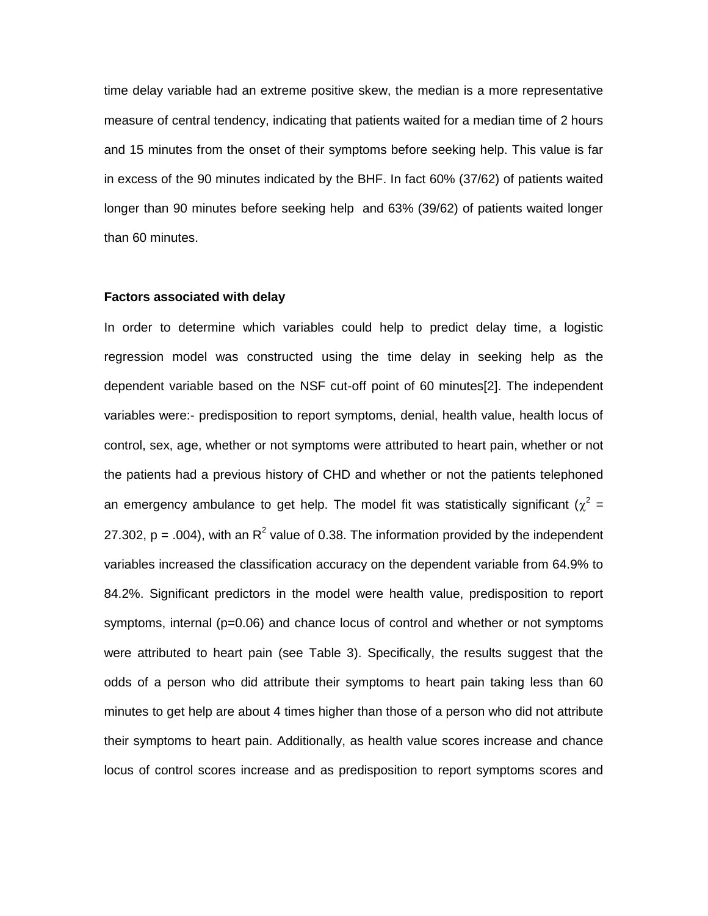time delay variable had an extreme positive skew, the median is a more representative measure of central tendency, indicating that patients waited for a median time of 2 hours and 15 minutes from the onset of their symptoms before seeking help. This value is far in excess of the 90 minutes indicated by the BHF. In fact 60% (37/62) of patients waited longer than 90 minutes before seeking help and 63% (39/62) of patients waited longer than 60 minutes.

#### **Factors associated with delay**

In order to determine which variables could help to predict delay time, a logistic regression model was constructed using the time delay in seeking help as the dependent variable based on the NSF cut-off point of 60 minutes[2]. The independent variables were:- predisposition to report symptoms, denial, health value, health locus of control, sex, age, whether or not symptoms were attributed to heart pain, whether or not the patients had a previous history of CHD and whether or not the patients telephoned an emergency ambulance to get help. The model fit was statistically significant ( $\chi^2$  = 27.302, p = .004), with an R<sup>2</sup> value of 0.38. The information provided by the independent variables increased the classification accuracy on the dependent variable from 64.9% to 84.2%. Significant predictors in the model were health value, predisposition to report symptoms, internal (p=0.06) and chance locus of control and whether or not symptoms were attributed to heart pain (see Table 3). Specifically, the results suggest that the odds of a person who did attribute their symptoms to heart pain taking less than 60 minutes to get help are about 4 times higher than those of a person who did not attribute their symptoms to heart pain. Additionally, as health value scores increase and chance locus of control scores increase and as predisposition to report symptoms scores and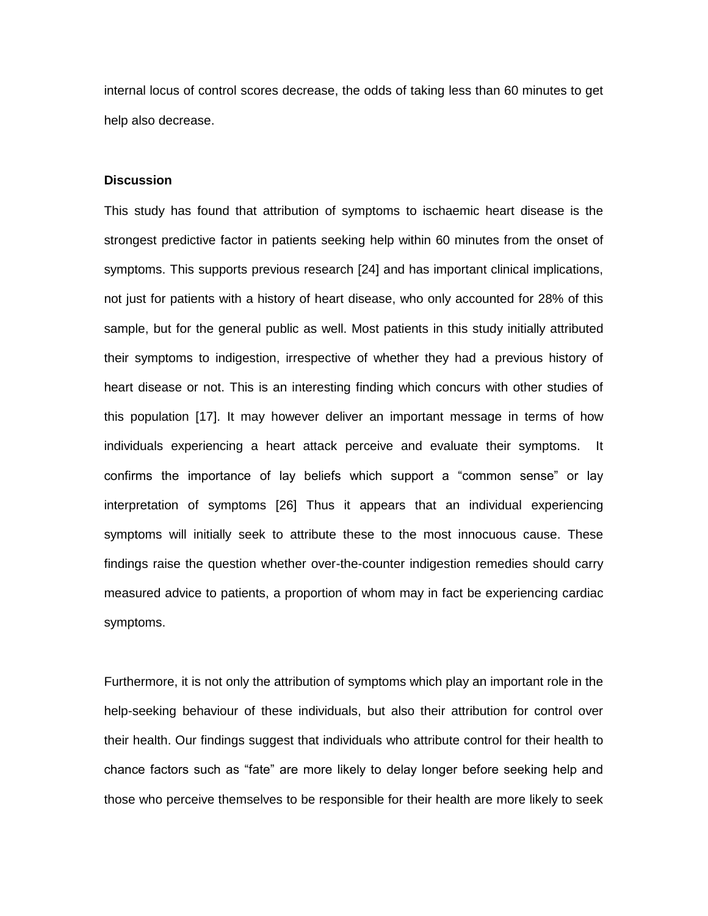internal locus of control scores decrease, the odds of taking less than 60 minutes to get help also decrease.

#### **Discussion**

This study has found that attribution of symptoms to ischaemic heart disease is the strongest predictive factor in patients seeking help within 60 minutes from the onset of symptoms. This supports previous research [24] and has important clinical implications, not just for patients with a history of heart disease, who only accounted for 28% of this sample, but for the general public as well. Most patients in this study initially attributed their symptoms to indigestion, irrespective of whether they had a previous history of heart disease or not. This is an interesting finding which concurs with other studies of this population [17]. It may however deliver an important message in terms of how individuals experiencing a heart attack perceive and evaluate their symptoms. It confirms the importance of lay beliefs which support a "common sense" or lay interpretation of symptoms [26] Thus it appears that an individual experiencing symptoms will initially seek to attribute these to the most innocuous cause. These findings raise the question whether over-the-counter indigestion remedies should carry measured advice to patients, a proportion of whom may in fact be experiencing cardiac symptoms.

Furthermore, it is not only the attribution of symptoms which play an important role in the help-seeking behaviour of these individuals, but also their attribution for control over their health. Our findings suggest that individuals who attribute control for their health to chance factors such as "fate" are more likely to delay longer before seeking help and those who perceive themselves to be responsible for their health are more likely to seek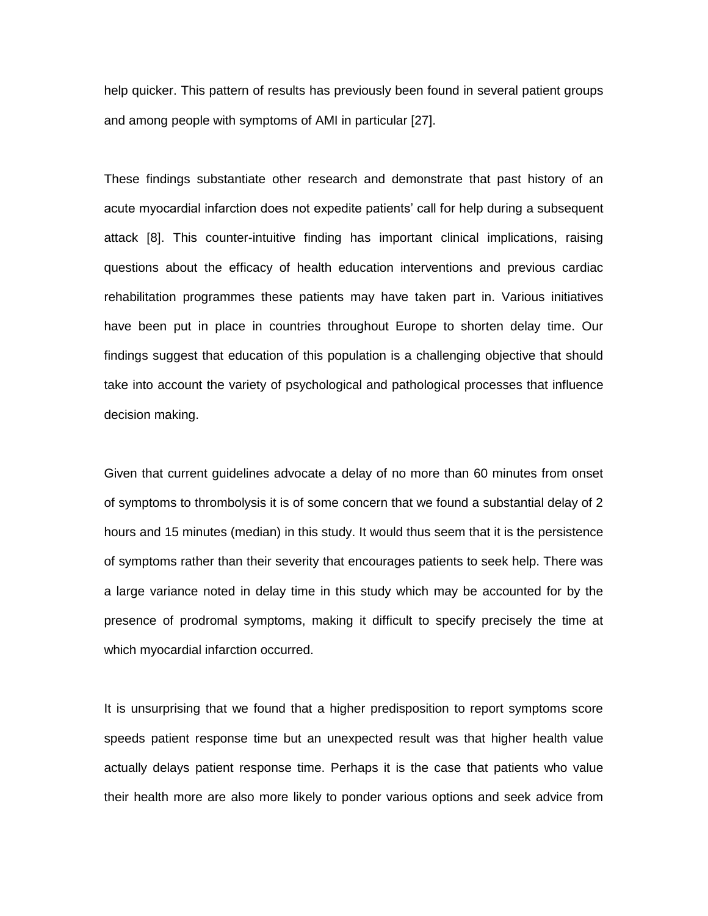help quicker. This pattern of results has previously been found in several patient groups and among people with symptoms of AMI in particular [27].

These findings substantiate other research and demonstrate that past history of an acute myocardial infarction does not expedite patients' call for help during a subsequent attack [8]. This counter-intuitive finding has important clinical implications, raising questions about the efficacy of health education interventions and previous cardiac rehabilitation programmes these patients may have taken part in. Various initiatives have been put in place in countries throughout Europe to shorten delay time. Our findings suggest that education of this population is a challenging objective that should take into account the variety of psychological and pathological processes that influence decision making.

Given that current guidelines advocate a delay of no more than 60 minutes from onset of symptoms to thrombolysis it is of some concern that we found a substantial delay of 2 hours and 15 minutes (median) in this study. It would thus seem that it is the persistence of symptoms rather than their severity that encourages patients to seek help. There was a large variance noted in delay time in this study which may be accounted for by the presence of prodromal symptoms, making it difficult to specify precisely the time at which myocardial infarction occurred.

It is unsurprising that we found that a higher predisposition to report symptoms score speeds patient response time but an unexpected result was that higher health value actually delays patient response time. Perhaps it is the case that patients who value their health more are also more likely to ponder various options and seek advice from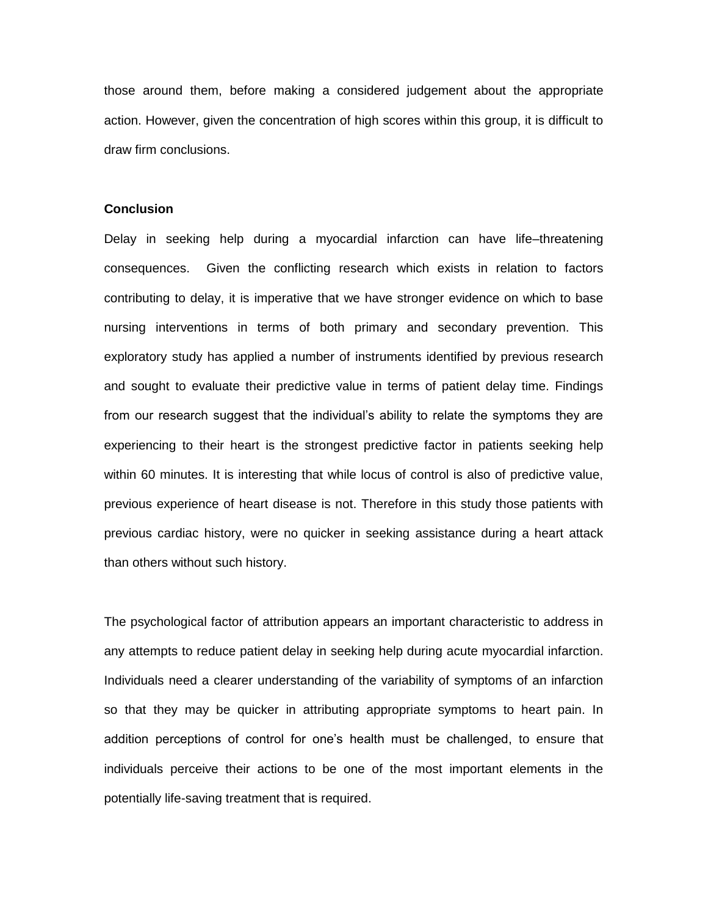those around them, before making a considered judgement about the appropriate action. However, given the concentration of high scores within this group, it is difficult to draw firm conclusions.

#### **Conclusion**

Delay in seeking help during a myocardial infarction can have life–threatening consequences. Given the conflicting research which exists in relation to factors contributing to delay, it is imperative that we have stronger evidence on which to base nursing interventions in terms of both primary and secondary prevention. This exploratory study has applied a number of instruments identified by previous research and sought to evaluate their predictive value in terms of patient delay time. Findings from our research suggest that the individual's ability to relate the symptoms they are experiencing to their heart is the strongest predictive factor in patients seeking help within 60 minutes. It is interesting that while locus of control is also of predictive value, previous experience of heart disease is not. Therefore in this study those patients with previous cardiac history, were no quicker in seeking assistance during a heart attack than others without such history.

The psychological factor of attribution appears an important characteristic to address in any attempts to reduce patient delay in seeking help during acute myocardial infarction. Individuals need a clearer understanding of the variability of symptoms of an infarction so that they may be quicker in attributing appropriate symptoms to heart pain. In addition perceptions of control for one's health must be challenged, to ensure that individuals perceive their actions to be one of the most important elements in the potentially life-saving treatment that is required.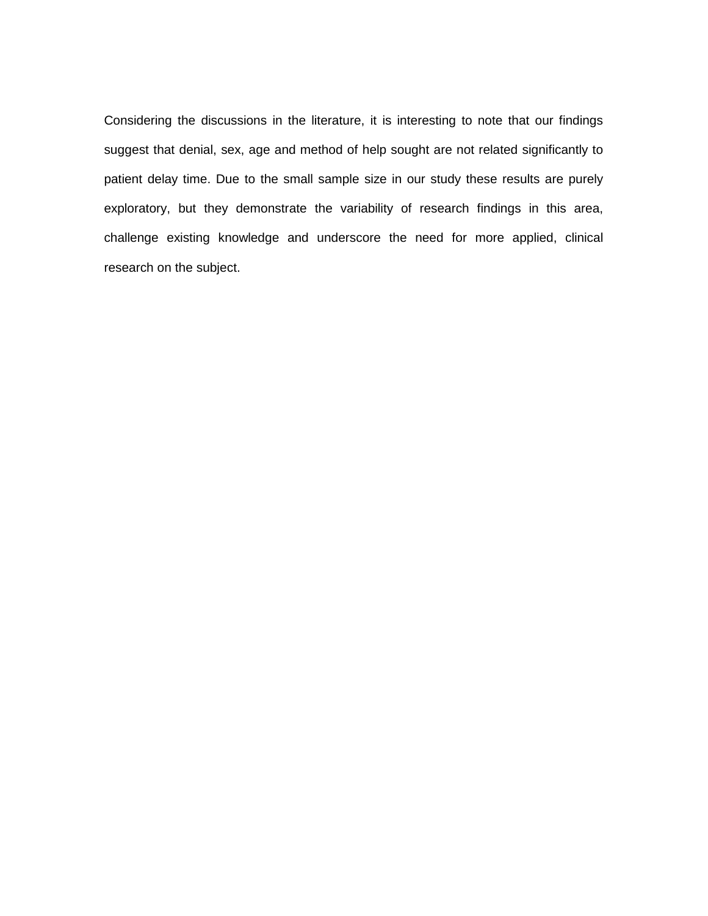Considering the discussions in the literature, it is interesting to note that our findings suggest that denial, sex, age and method of help sought are not related significantly to patient delay time. Due to the small sample size in our study these results are purely exploratory, but they demonstrate the variability of research findings in this area, challenge existing knowledge and underscore the need for more applied, clinical research on the subject.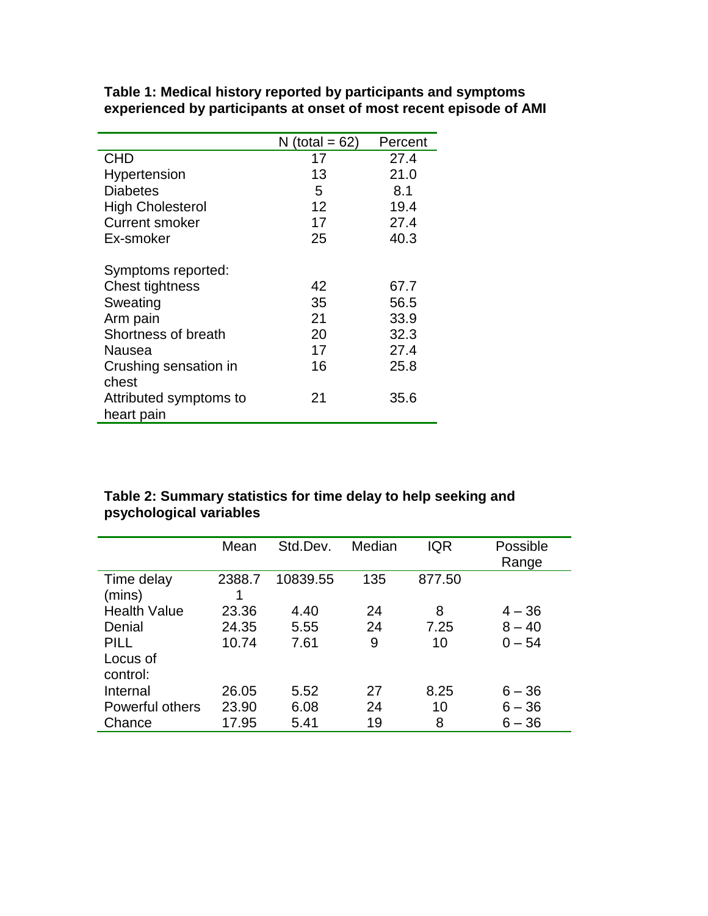|                         | N (total = $62$ ) | Percent |
|-------------------------|-------------------|---------|
| <b>CHD</b>              | 17                | 27.4    |
| Hypertension            | 13                | 21.0    |
| <b>Diabetes</b>         | 5                 | 8.1     |
| <b>High Cholesterol</b> | 12                | 19.4    |
| <b>Current smoker</b>   | 17                | 27.4    |
| Ex-smoker               | 25                | 40.3    |
|                         |                   |         |
| Symptoms reported:      |                   |         |
| <b>Chest tightness</b>  | 42                | 67.7    |
| Sweating                | 35                | 56.5    |
| Arm pain                | 21                | 33.9    |
| Shortness of breath     | 20                | 32.3    |
| Nausea                  | 17                | 27.4    |
| Crushing sensation in   | 16                | 25.8    |
| chest                   |                   |         |
| Attributed symptoms to  | 21                | 35.6    |
| heart pain              |                   |         |

**Table 1: Medical history reported by participants and symptoms experienced by participants at onset of most recent episode of AMI**

### **Table 2: Summary statistics for time delay to help seeking and psychological variables**

|                      | Mean   | Std.Dev. | Median | <b>IQR</b> | Possible<br>Range |
|----------------------|--------|----------|--------|------------|-------------------|
| Time delay<br>(mins) | 2388.7 | 10839.55 | 135    | 877.50     |                   |
| <b>Health Value</b>  | 23.36  | 4.40     | 24     | 8          | $4 - 36$          |
| Denial               | 24.35  | 5.55     | 24     | 7.25       | $8 - 40$          |
| <b>PILL</b>          | 10.74  | 7.61     | 9      | 10         | $0 - 54$          |
| Locus of<br>control: |        |          |        |            |                   |
| Internal             | 26.05  | 5.52     | 27     | 8.25       | $6 - 36$          |
|                      |        |          |        |            |                   |
| Powerful others      | 23.90  | 6.08     | 24     | 10         | $6 - 36$          |
| Chance               | 17.95  | 5.41     | 19     | 8          | $6 - 36$          |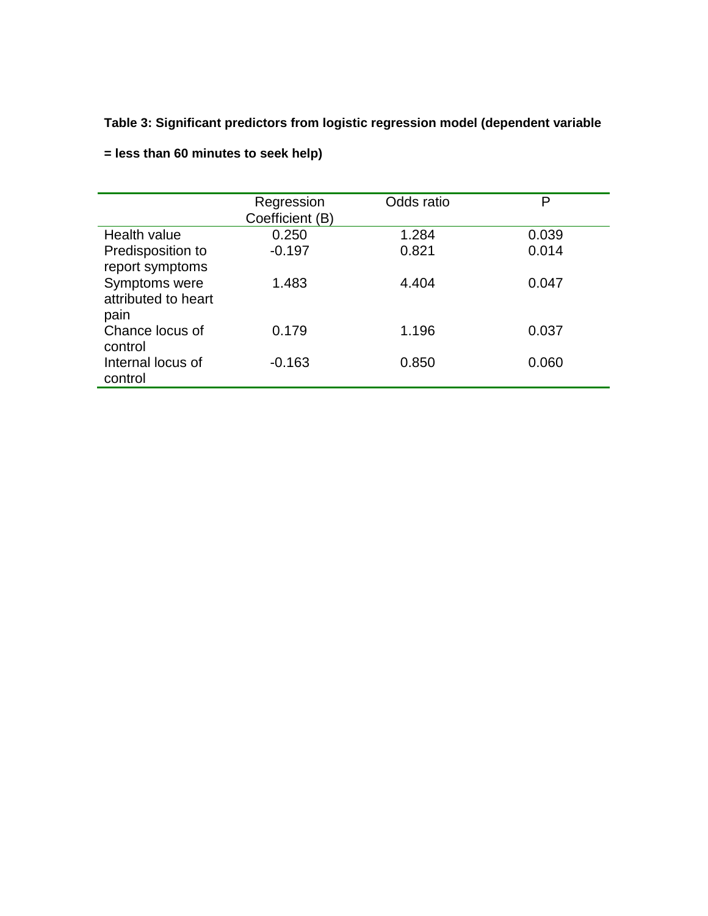# **Table 3: Significant predictors from logistic regression model (dependent variable**

|                     | Regression<br>Coefficient (B) | Odds ratio | P     |
|---------------------|-------------------------------|------------|-------|
| Health value        | 0.250                         | 1.284      | 0.039 |
| Predisposition to   | $-0.197$                      | 0.821      | 0.014 |
| report symptoms     |                               |            |       |
| Symptoms were       | 1.483                         | 4.404      | 0.047 |
| attributed to heart |                               |            |       |
| pain                |                               |            |       |
| Chance locus of     | 0.179                         | 1.196      | 0.037 |
| control             |                               |            |       |
| Internal locus of   | $-0.163$                      | 0.850      | 0.060 |
| control             |                               |            |       |
|                     |                               |            |       |

**= less than 60 minutes to seek help)**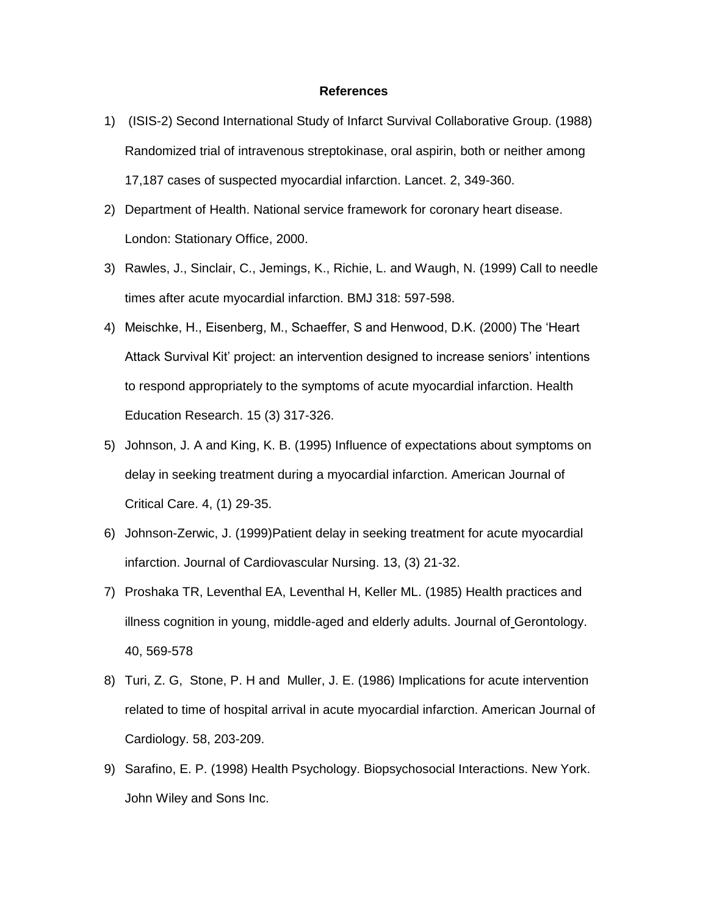#### **References**

- 1) (ISIS-2) Second International Study of Infarct Survival Collaborative Group. (1988) Randomized trial of intravenous streptokinase, oral aspirin, both or neither among 17,187 cases of suspected myocardial infarction. Lancet. 2, 349-360.
- 2) Department of Health. National service framework for coronary heart disease. London: Stationary Office, 2000.
- 3) Rawles, J., Sinclair, C., Jemings, K., Richie, L. and Waugh, N. (1999) Call to needle times after acute myocardial infarction. BMJ 318: 597-598.
- 4) Meischke, H., Eisenberg, M., Schaeffer, S and Henwood, D.K. (2000) The 'Heart Attack Survival Kit' project: an intervention designed to increase seniors' intentions to respond appropriately to the symptoms of acute myocardial infarction. Health Education Research. 15 (3) 317-326.
- 5) Johnson, J. A and King, K. B. (1995) Influence of expectations about symptoms on delay in seeking treatment during a myocardial infarction. American Journal of Critical Care. 4, (1) 29-35.
- 6) Johnson-Zerwic, J. (1999)Patient delay in seeking treatment for acute myocardial infarction. Journal of Cardiovascular Nursing. 13, (3) 21-32.
- 7) Proshaka TR, Leventhal EA, Leventhal H, Keller ML. (1985) Health practices and illness cognition in young, middle-aged and elderly adults. Journal of Gerontology. 40, 569-578
- 8) Turi, Z. G, Stone, P. H and Muller, J. E. (1986) Implications for acute intervention related to time of hospital arrival in acute myocardial infarction. American Journal of Cardiology. 58, 203-209.
- 9) Sarafino, E. P. (1998) Health Psychology. Biopsychosocial Interactions. New York. John Wiley and Sons Inc.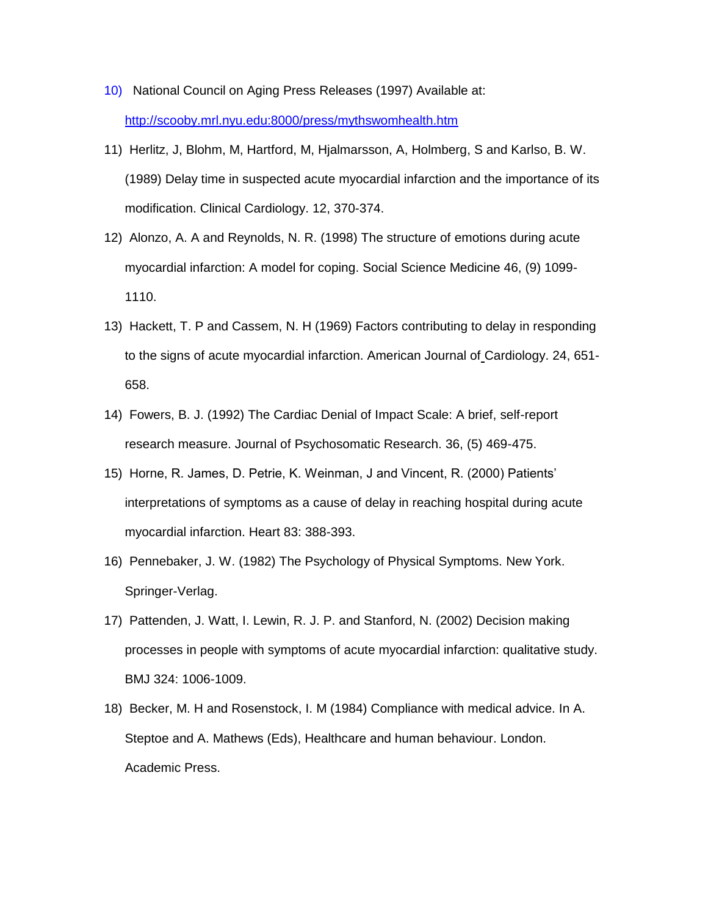- 10) National Council on Aging Press Releases (1997) Available at: http://scooby.mrl.nyu.edu:8000/press/mythswomhealth.htm
- 11) Herlitz, J, Blohm, M, Hartford, M, Hjalmarsson, A, Holmberg, S and Karlso, B. W. (1989) Delay time in suspected acute myocardial infarction and the importance of its modification. Clinical Cardiology. 12, 370-374.
- 12) Alonzo, A. A and Reynolds, N. R. (1998) The structure of emotions during acute myocardial infarction: A model for coping. Social Science Medicine 46, (9) 1099- 1110.
- 13) Hackett, T. P and Cassem, N. H (1969) Factors contributing to delay in responding to the signs of acute myocardial infarction. American Journal of Cardiology. 24, 651- 658.
- 14) Fowers, B. J. (1992) The Cardiac Denial of Impact Scale: A brief, self-report research measure. Journal of Psychosomatic Research. 36, (5) 469-475.
- 15) Horne, R. James, D. Petrie, K. Weinman, J and Vincent, R. (2000) Patients' interpretations of symptoms as a cause of delay in reaching hospital during acute myocardial infarction. Heart 83: 388-393.
- 16) Pennebaker, J. W. (1982) The Psychology of Physical Symptoms. New York. Springer-Verlag.
- 17) Pattenden, J. Watt, I. Lewin, R. J. P. and Stanford, N. (2002) Decision making processes in people with symptoms of acute myocardial infarction: qualitative study. BMJ 324: 1006-1009.
- 18) Becker, M. H and Rosenstock, I. M (1984) Compliance with medical advice. In A. Steptoe and A. Mathews (Eds), Healthcare and human behaviour. London. Academic Press.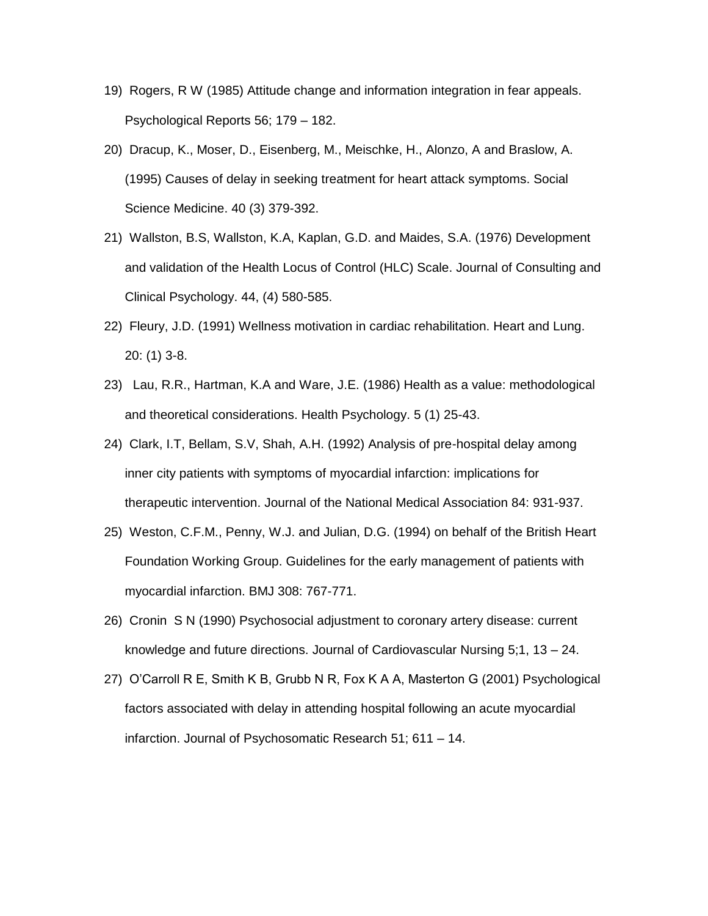- 19) Rogers, R W (1985) Attitude change and information integration in fear appeals. Psychological Reports 56; 179 – 182.
- 20) Dracup, K., Moser, D., Eisenberg, M., Meischke, H., Alonzo, A and Braslow, A. (1995) Causes of delay in seeking treatment for heart attack symptoms. Social Science Medicine. 40 (3) 379-392.
- 21) Wallston, B.S, Wallston, K.A, Kaplan, G.D. and Maides, S.A. (1976) Development and validation of the Health Locus of Control (HLC) Scale. Journal of Consulting and Clinical Psychology. 44, (4) 580-585.
- 22) Fleury, J.D. (1991) Wellness motivation in cardiac rehabilitation. Heart and Lung. 20: (1) 3-8.
- 23) Lau, R.R., Hartman, K.A and Ware, J.E. (1986) Health as a value: methodological and theoretical considerations. Health Psychology. 5 (1) 25-43.
- 24) Clark, I.T, Bellam, S.V, Shah, A.H. (1992) Analysis of pre-hospital delay among inner city patients with symptoms of myocardial infarction: implications for therapeutic intervention. Journal of the National Medical Association 84: 931-937.
- 25) Weston, C.F.M., Penny, W.J. and Julian, D.G. (1994) on behalf of the British Heart Foundation Working Group. Guidelines for the early management of patients with myocardial infarction. BMJ 308: 767-771.
- 26) Cronin S N (1990) Psychosocial adjustment to coronary artery disease: current knowledge and future directions. Journal of Cardiovascular Nursing 5;1, 13 – 24.
- 27) O'Carroll R E, Smith K B, Grubb N R, Fox K A A, Masterton G (2001) Psychological factors associated with delay in attending hospital following an acute myocardial infarction. Journal of Psychosomatic Research 51; 611 – 14.